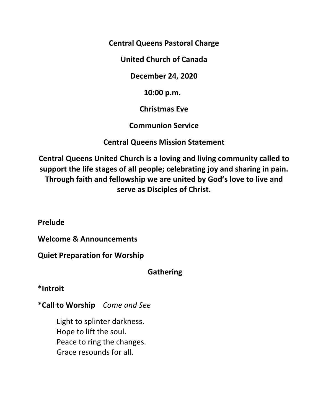**Central Queens Pastoral Charge** 

**United Church of Canada** 

**December 24, 2020** 

 **10:00 p.m.** 

**Christmas Eve** 

**Communion Service** 

**Central Queens Mission Statement** 

**Central Queens United Church is a loving and living community called to support the life stages of all people; celebrating joy and sharing in pain. Through faith and fellowship we are united by God's love to live and serve as Disciples of Christ.** 

**Prelude** 

**Welcome & Announcements** 

**Quiet Preparation for Worship** 

 **Gathering** 

**\*Introit** 

**\*Call to Worship** *Come and See* 

Light to splinter darkness. Hope to lift the soul. Peace to ring the changes. Grace resounds for all.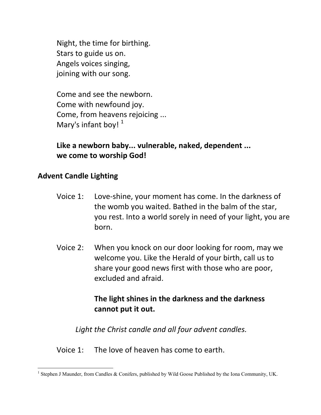Night, the time for birthing. Stars to guide us on. Angels voices singing, joining with our song.

 Come and see the newborn. Come with newfound joy. Come, from heavens rejoicing ... Mary's infant boy!  $1$ 

 **Like a newborn baby... vulnerable, naked, dependent ... we come to worship God!** 

## **Advent Candle Lighting**

- Voice 1: Love-shine, your moment has come. In the darkness of the womb you waited. Bathed in the balm of the star, you rest. Into a world sorely in need of your light, you are born.
- Voice 2: When you knock on our door looking for room, may we welcome you. Like the Herald of your birth, call us to share your good news first with those who are poor, excluded and afraid.

## **The light shines in the darkness and the darkness cannot put it out.**

*Light the Christ candle and all four advent candles.* 

Voice 1: The love of heaven has come to earth.

<sup>&</sup>lt;u>.</u> <sup>1</sup> Stephen J Maunder, from Candles & Conifers, published by Wild Goose Published by the Iona Community, UK.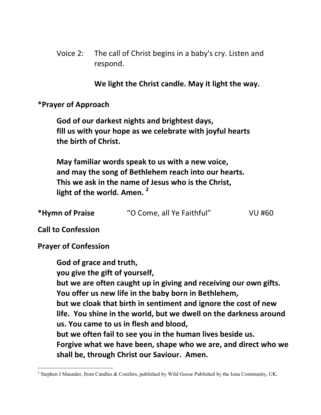Voice 2: The call of Christ begins in a baby's cry. Listen and respond.

 **We light the Christ candle. May it light the way.** 

**\*Prayer of Approach** 

 **God of our darkest nights and brightest days, fill us with your hope as we celebrate with joyful hearts the birth of Christ.** 

 **May familiar words speak to us with a new voice, and may the song of Bethlehem reach into our hearts. This we ask in the name of Jesus who is the Christ, light of the world. Amen. <sup>2</sup>**

| *Hymn of Praise | "O Come, all Ye Faithful" | <b>VU #60</b> |
|-----------------|---------------------------|---------------|
|                 |                           |               |

**Call to Confession** 

**Prayer of Confession** 

 **God of grace and truth, you give the gift of yourself, but we are often caught up in giving and receiving our own gifts. You offer us new life in the baby born in Bethlehem, but we cloak that birth in sentiment and ignore the cost of new life. You shine in the world, but we dwell on the darkness around us. You came to us in flesh and blood, but we often fail to see you in the human lives beside us. Forgive what we have been, shape who we are, and direct who we shall be, through Christ our Saviour. Amen.** 

<sup>&</sup>lt;u>.</u>  $2$  Stephen J Maunder, from Candles & Conifers, published by Wild Goose Published by the Iona Community, UK.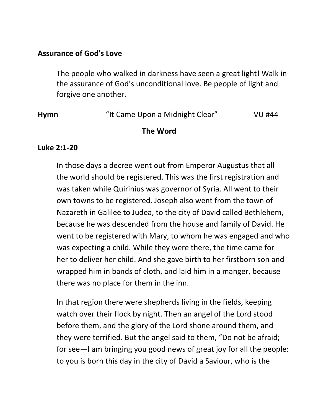## **Assurance of God's Love**

The people who walked in darkness have seen a great light! Walk in the assurance of God's unconditional love. Be people of light and forgive one another.

| <b>Hymn</b> | "It Came Upon a Midnight Clear" | VU #44 |
|-------------|---------------------------------|--------|
|             | The Word                        |        |

#### **Luke 2:1-20**

 In those days a decree went out from Emperor Augustus that all the world should be registered. This was the first registration and was taken while Quirinius was governor of Syria. All went to their own towns to be registered. Joseph also went from the town of Nazareth in Galilee to Judea, to the city of David called Bethlehem, because he was descended from the house and family of David. He went to be registered with Mary, to whom he was engaged and who was expecting a child. While they were there, the time came for her to deliver her child. And she gave birth to her firstborn son and wrapped him in bands of cloth, and laid him in a manger, because there was no place for them in the inn.

In that region there were shepherds living in the fields, keeping watch over their flock by night. Then an angel of the Lord stood before them, and the glory of the Lord shone around them, and they were terrified. But the angel said to them, "Do not be afraid; for see—I am bringing you good news of great joy for all the people: to you is born this day in the city of David a Saviour, who is the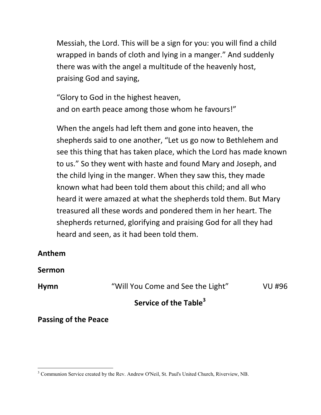Messiah, the Lord. This will be a sign for you: you will find a child wrapped in bands of cloth and lying in a manger." And suddenly there was with the angel a multitude of the heavenly host, praising God and saying,

"Glory to God in the highest heaven, and on earth peace among those whom he favours!"

When the angels had left them and gone into heaven, the shepherds said to one another, "Let us go now to Bethlehem and see this thing that has taken place, which the Lord has made known to us." So they went with haste and found Mary and Joseph, and the child lying in the manger. When they saw this, they made known what had been told them about this child; and all who heard it were amazed at what the shepherds told them. But Mary treasured all these words and pondered them in her heart. The shepherds returned, glorifying and praising God for all they had heard and seen, as it had been told them.

#### **Anthem**

**Sermon** 

**Hymn** "Will You Come and See the Light" VU #96

# **Service of the Table<sup>3</sup>**

## **Passing of the Peace**

<sup>&</sup>lt;u>.</u> <sup>3</sup> Communion Service created by the Rev. Andrew O'Neil, St. Paul's United Church, Riverview, NB.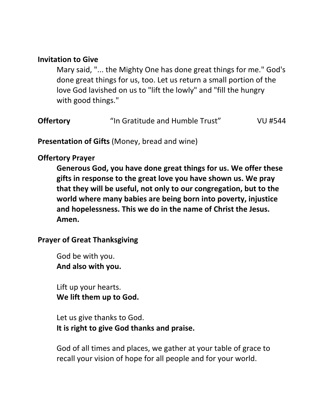## **Invitation to Give**

Mary said, "... the Mighty One has done great things for me." God's done great things for us, too. Let us return a small portion of the love God lavished on us to "lift the lowly" and "fill the hungry with good things."

| <b>Offertory</b> | "In Gratitude and Humble Trust" | VU #544 |
|------------------|---------------------------------|---------|
|                  |                                 |         |

**Presentation of Gifts** (Money, bread and wine)

## **Offertory Prayer**

 **Generous God, you have done great things for us. We offer these gifts in response to the great love you have shown us. We pray that they will be useful, not only to our congregation, but to the world where many babies are being born into poverty, injustice and hopelessness. This we do in the name of Christ the Jesus. Amen.** 

## **Prayer of Great Thanksgiving**

 God be with you.  **And also with you.** 

 Lift up your hearts.  **We lift them up to God.** 

 Let us give thanks to God.  **It is right to give God thanks and praise.** 

 God of all times and places, we gather at your table of grace to recall your vision of hope for all people and for your world.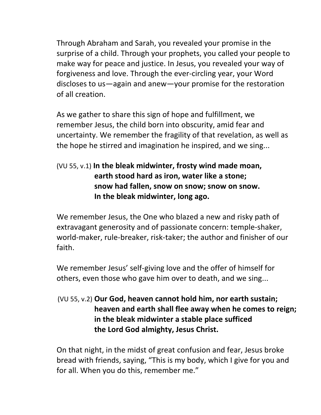Through Abraham and Sarah, you revealed your promise in the surprise of a child. Through your prophets, you called your people to make way for peace and justice. In Jesus, you revealed your way of forgiveness and love. Through the ever-circling year, your Word discloses to us—again and anew—your promise for the restoration of all creation.

 As we gather to share this sign of hope and fulfillment, we remember Jesus, the child born into obscurity, amid fear and uncertainty. We remember the fragility of that revelation, as well as the hope he stirred and imagination he inspired, and we sing...

# (VU 55, v.1) **In the bleak midwinter, frosty wind made moan, earth stood hard as iron, water like a stone; snow had fallen, snow on snow; snow on snow. In the bleak midwinter, long ago.**

 We remember Jesus, the One who blazed a new and risky path of extravagant generosity and of passionate concern: temple-shaker, world-maker, rule-breaker, risk-taker; the author and finisher of our faith.

 We remember Jesus' self-giving love and the offer of himself for others, even those who gave him over to death, and we sing...

# (VU 55, v.2) **Our God, heaven cannot hold him, nor earth sustain; heaven and earth shall flee away when he comes to reign; in the bleak midwinter a stable place sufficed the Lord God almighty, Jesus Christ.**

 On that night, in the midst of great confusion and fear, Jesus broke bread with friends, saying, "This is my body, which I give for you and for all. When you do this, remember me."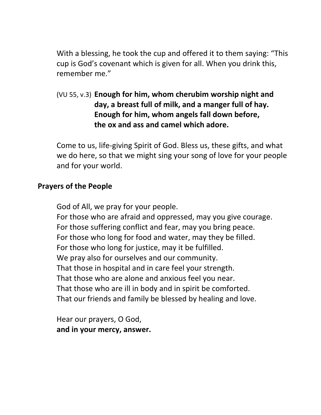With a blessing, he took the cup and offered it to them saying: "This cup is God's covenant which is given for all. When you drink this, remember me."

 (VU 55, v.3) **Enough for him, whom cherubim worship night and day, a breast full of milk, and a manger full of hay. Enough for him, whom angels fall down before, the ox and ass and camel which adore.** 

 Come to us, life-giving Spirit of God. Bless us, these gifts, and what we do here, so that we might sing your song of love for your people and for your world.

## **Prayers of the People**

God of All, we pray for your people. For those who are afraid and oppressed, may you give courage. For those suffering conflict and fear, may you bring peace. For those who long for food and water, may they be filled. For those who long for justice, may it be fulfilled. We pray also for ourselves and our community. That those in hospital and in care feel your strength. That those who are alone and anxious feel you near. That those who are ill in body and in spirit be comforted. That our friends and family be blessed by healing and love.

 Hear our prayers, O God,  **and in your mercy, answer.**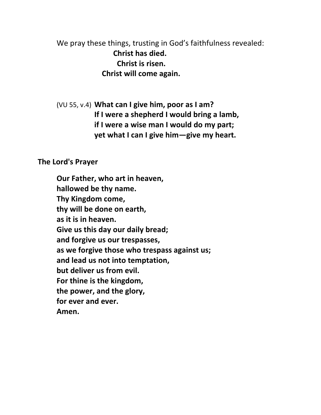We pray these things, trusting in God's faithfulness revealed:  **Christ has died. Christ is risen. Christ will come again.** 

 (VU 55, v.4) **What can I give him, poor as I am? If I were a shepherd I would bring a lamb, if I were a wise man I would do my part; yet what I can I give him—give my heart.** 

#### **The Lord's Prayer**

**Our Father, who art in heaven, hallowed be thy name. Thy Kingdom come, thy will be done on earth, as it is in heaven. Give us this day our daily bread; and forgive us our trespasses, as we forgive those who trespass against us; and lead us not into temptation, but deliver us from evil. For thine is the kingdom, the power, and the glory, for ever and ever. Amen.**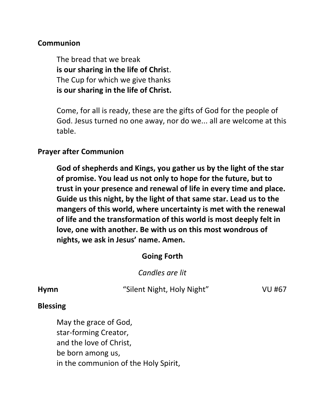## **Communion**

The bread that we break **is our sharing in the life of Chris**t. The Cup for which we give thanks **is our sharing in the life of Christ.** 

 Come, for all is ready, these are the gifts of God for the people of God. Jesus turned no one away, nor do we... all are welcome at this table.

## **Prayer after Communion**

 **God of shepherds and Kings, you gather us by the light of the star of promise. You lead us not only to hope for the future, but to trust in your presence and renewal of life in every time and place. Guide us this night, by the light of that same star. Lead us to the mangers of this world, where uncertainty is met with the renewal of life and the transformation of this world is most deeply felt in love, one with another. Be with us on this most wondrous of nights, we ask in Jesus' name. Amen.** 

## **Going Forth**

 *Candles are lit* 

**Hymn** "Silent Night, Holy Night" VU #67

## **Blessing**

May the grace of God, star-forming Creator, and the love of Christ, be born among us, in the communion of the Holy Spirit,